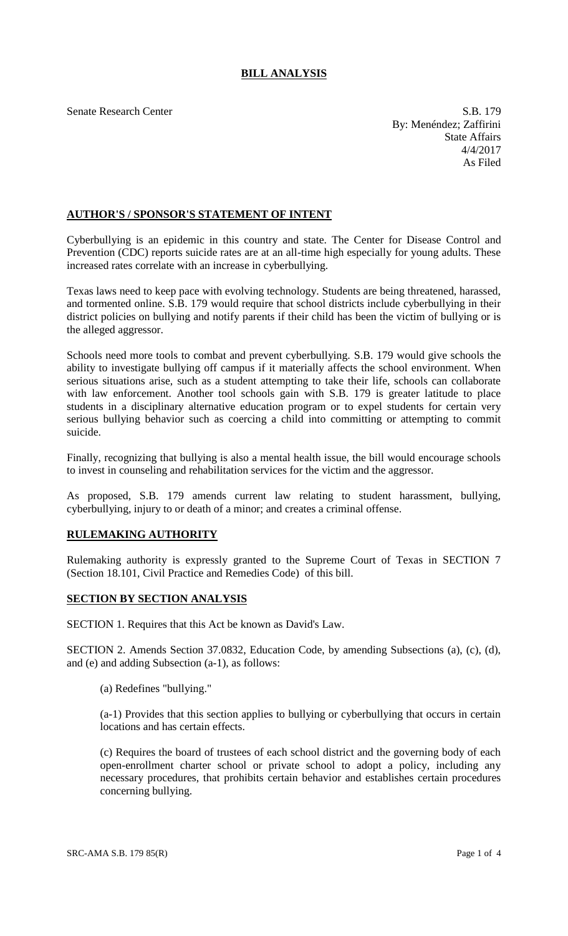# **BILL ANALYSIS**

Senate Research Center S.B. 179 By: Menéndez; Zaffirini State Affairs 4/4/2017 As Filed

## **AUTHOR'S / SPONSOR'S STATEMENT OF INTENT**

Cyberbullying is an epidemic in this country and state. The Center for Disease Control and Prevention (CDC) reports suicide rates are at an all-time high especially for young adults. These increased rates correlate with an increase in cyberbullying.

Texas laws need to keep pace with evolving technology. Students are being threatened, harassed, and tormented online. S.B. 179 would require that school districts include cyberbullying in their district policies on bullying and notify parents if their child has been the victim of bullying or is the alleged aggressor.

Schools need more tools to combat and prevent cyberbullying. S.B. 179 would give schools the ability to investigate bullying off campus if it materially affects the school environment. When serious situations arise, such as a student attempting to take their life, schools can collaborate with law enforcement. Another tool schools gain with S.B. 179 is greater latitude to place students in a disciplinary alternative education program or to expel students for certain very serious bullying behavior such as coercing a child into committing or attempting to commit suicide.

Finally, recognizing that bullying is also a mental health issue, the bill would encourage schools to invest in counseling and rehabilitation services for the victim and the aggressor.

As proposed, S.B. 179 amends current law relating to student harassment, bullying, cyberbullying, injury to or death of a minor; and creates a criminal offense.

## **RULEMAKING AUTHORITY**

Rulemaking authority is expressly granted to the Supreme Court of Texas in SECTION 7 (Section 18.101, Civil Practice and Remedies Code) of this bill.

## **SECTION BY SECTION ANALYSIS**

SECTION 1. Requires that this Act be known as David's Law.

SECTION 2. Amends Section 37.0832, Education Code, by amending Subsections (a), (c), (d), and (e) and adding Subsection (a-1), as follows:

(a) Redefines "bullying."

(a-1) Provides that this section applies to bullying or cyberbullying that occurs in certain locations and has certain effects.

(c) Requires the board of trustees of each school district and the governing body of each open-enrollment charter school or private school to adopt a policy, including any necessary procedures, that prohibits certain behavior and establishes certain procedures concerning bullying.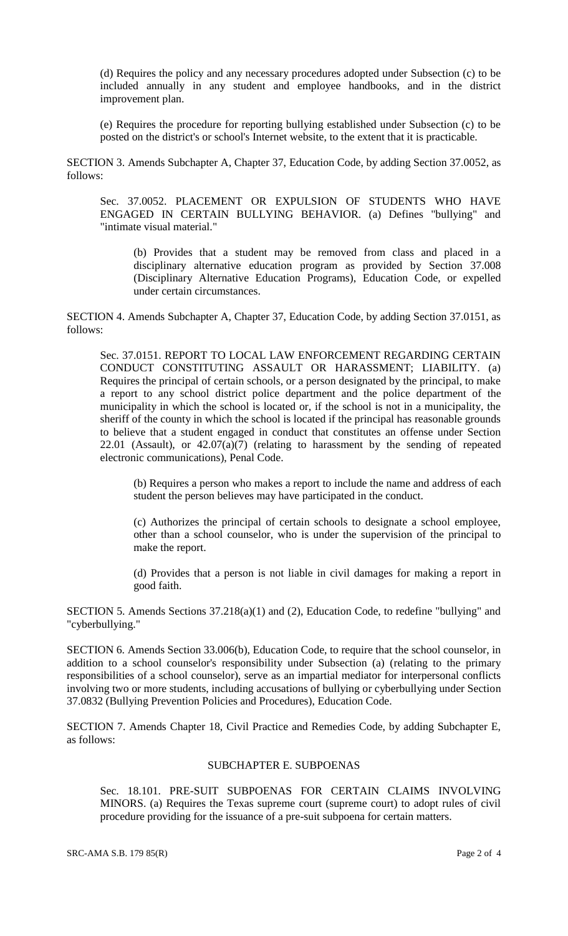(d) Requires the policy and any necessary procedures adopted under Subsection (c) to be included annually in any student and employee handbooks, and in the district improvement plan.

(e) Requires the procedure for reporting bullying established under Subsection (c) to be posted on the district's or school's Internet website, to the extent that it is practicable.

SECTION 3. Amends Subchapter A, Chapter 37, Education Code, by adding Section 37.0052, as follows:

Sec. 37.0052. PLACEMENT OR EXPULSION OF STUDENTS WHO HAVE ENGAGED IN CERTAIN BULLYING BEHAVIOR. (a) Defines "bullying" and "intimate visual material."

(b) Provides that a student may be removed from class and placed in a disciplinary alternative education program as provided by Section 37.008 (Disciplinary Alternative Education Programs), Education Code, or expelled under certain circumstances.

SECTION 4. Amends Subchapter A, Chapter 37, Education Code, by adding Section 37.0151, as follows:

Sec. 37.0151. REPORT TO LOCAL LAW ENFORCEMENT REGARDING CERTAIN CONDUCT CONSTITUTING ASSAULT OR HARASSMENT; LIABILITY. (a) Requires the principal of certain schools, or a person designated by the principal, to make a report to any school district police department and the police department of the municipality in which the school is located or, if the school is not in a municipality, the sheriff of the county in which the school is located if the principal has reasonable grounds to believe that a student engaged in conduct that constitutes an offense under Section  $22.01$  (Assault), or  $42.07(a)(7)$  (relating to harassment by the sending of repeated electronic communications), Penal Code.

(b) Requires a person who makes a report to include the name and address of each student the person believes may have participated in the conduct.

(c) Authorizes the principal of certain schools to designate a school employee, other than a school counselor, who is under the supervision of the principal to make the report.

(d) Provides that a person is not liable in civil damages for making a report in good faith.

SECTION 5. Amends Sections 37.218(a)(1) and (2), Education Code, to redefine "bullying" and "cyberbullying."

SECTION 6. Amends Section 33.006(b), Education Code, to require that the school counselor, in addition to a school counselor's responsibility under Subsection (a) (relating to the primary responsibilities of a school counselor), serve as an impartial mediator for interpersonal conflicts involving two or more students, including accusations of bullying or cyberbullying under Section 37.0832 (Bullying Prevention Policies and Procedures), Education Code.

SECTION 7. Amends Chapter 18, Civil Practice and Remedies Code, by adding Subchapter E, as follows:

#### SUBCHAPTER E. SUBPOENAS

Sec. 18.101. PRE-SUIT SUBPOENAS FOR CERTAIN CLAIMS INVOLVING MINORS. (a) Requires the Texas supreme court (supreme court) to adopt rules of civil procedure providing for the issuance of a pre-suit subpoena for certain matters.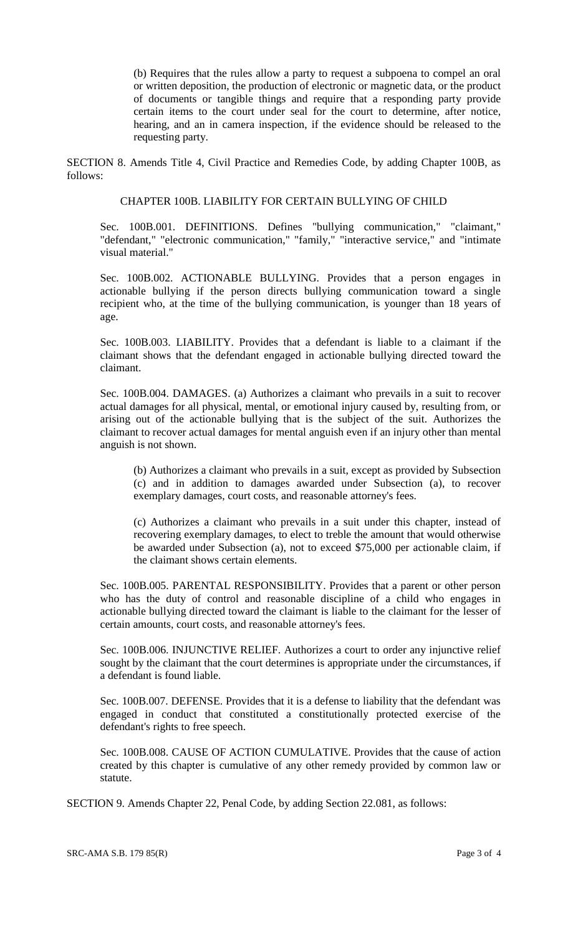(b) Requires that the rules allow a party to request a subpoena to compel an oral or written deposition, the production of electronic or magnetic data, or the product of documents or tangible things and require that a responding party provide certain items to the court under seal for the court to determine, after notice, hearing, and an in camera inspection, if the evidence should be released to the requesting party.

SECTION 8. Amends Title 4, Civil Practice and Remedies Code, by adding Chapter 100B, as follows:

#### CHAPTER 100B. LIABILITY FOR CERTAIN BULLYING OF CHILD

Sec. 100B.001. DEFINITIONS. Defines "bullying communication," "claimant," "defendant," "electronic communication," "family," "interactive service," and "intimate visual material."

Sec. 100B.002. ACTIONABLE BULLYING. Provides that a person engages in actionable bullying if the person directs bullying communication toward a single recipient who, at the time of the bullying communication, is younger than 18 years of age.

Sec. 100B.003. LIABILITY. Provides that a defendant is liable to a claimant if the claimant shows that the defendant engaged in actionable bullying directed toward the claimant.

Sec. 100B.004. DAMAGES. (a) Authorizes a claimant who prevails in a suit to recover actual damages for all physical, mental, or emotional injury caused by, resulting from, or arising out of the actionable bullying that is the subject of the suit. Authorizes the claimant to recover actual damages for mental anguish even if an injury other than mental anguish is not shown.

(b) Authorizes a claimant who prevails in a suit, except as provided by Subsection (c) and in addition to damages awarded under Subsection (a), to recover exemplary damages, court costs, and reasonable attorney's fees.

(c) Authorizes a claimant who prevails in a suit under this chapter, instead of recovering exemplary damages, to elect to treble the amount that would otherwise be awarded under Subsection (a), not to exceed \$75,000 per actionable claim, if the claimant shows certain elements.

Sec. 100B.005. PARENTAL RESPONSIBILITY. Provides that a parent or other person who has the duty of control and reasonable discipline of a child who engages in actionable bullying directed toward the claimant is liable to the claimant for the lesser of certain amounts, court costs, and reasonable attorney's fees.

Sec. 100B.006. INJUNCTIVE RELIEF. Authorizes a court to order any injunctive relief sought by the claimant that the court determines is appropriate under the circumstances, if a defendant is found liable.

Sec. 100B.007. DEFENSE. Provides that it is a defense to liability that the defendant was engaged in conduct that constituted a constitutionally protected exercise of the defendant's rights to free speech.

Sec. 100B.008. CAUSE OF ACTION CUMULATIVE. Provides that the cause of action created by this chapter is cumulative of any other remedy provided by common law or statute.

SECTION 9. Amends Chapter 22, Penal Code, by adding Section 22.081, as follows: